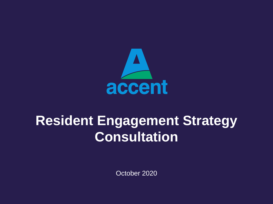

# **Resident Engagement Strategy Consultation**

October 2020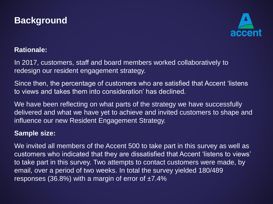# **Background**



### **Rationale:**

In 2017, customers, staff and board members worked collaboratively to redesign our resident engagement strategy.

Since then, the percentage of customers who are satisfied that Accent 'listens to views and takes them into consideration' has declined.

We have been reflecting on what parts of the strategy we have successfully delivered and what we have yet to achieve and invited customers to shape and influence our new Resident Engagement Strategy.

### **Sample size:**

We invited all members of the Accent 500 to take part in this survey as well as customers who indicated that they are dissatisfied that Accent 'listens to views' to take part in this survey. Two attempts to contact customers were made, by email, over a period of two weeks. In total the survey yielded 180/489 responses (36.8%) with a margin of error of  $\pm 7.4\%$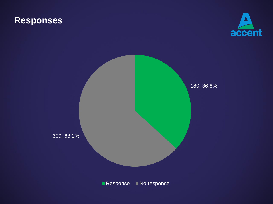# **Responses**



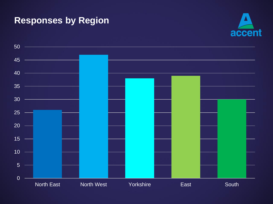# **Responses by Region**



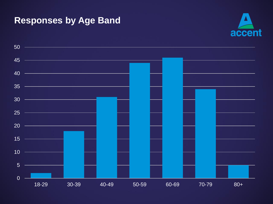# **Responses by Age Band**



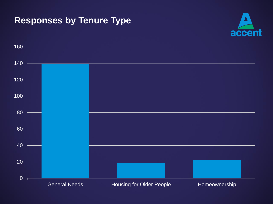# **Responses by Tenure Type**



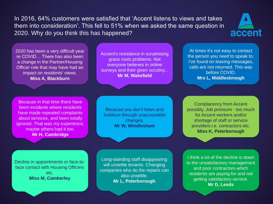In 2016, 64% customers were satisfied that 'Accent listens to views and takes them into consideration'. This fell to 51% when we asked the same question in 2020. Why do you think this has happened?



2020 has been a very difficult year re COVID… There has also been a change in the Partner/Housing Officer role that may have had an impact on residents' views. **Miss A, Blackburn**

Accent's resistance in scrutinising grass roots problems. Not everyone believes in online surveys and their given scrutiny... **Mr M, Wakefield**

At times it's not easy to contact the person you need to speak to. I've found on leaving messages, calls are not returned. This was before COVID. **Mrs L, Middlesbrough**

Because in that time there have been incidents where residents have made repeated complaints about services, and been totally ignored. That was my experience, maybe others had it too. **Mr H, Cambridge**

Because you don't listen and bulldoze through unacceptable changes. **Mr W, Windlesham**

Complacency from Accent possibly. Job pressure - too much for Accent workers and/or shortage of staff or service providers i.e. contractors etc. **Miss K, Peterborough**

Decline in appointments or face-toface contact with Housing Officers etc. **Miss M, Camberley**

Long-standing staff disappearing will unsettle tenants. Changing companies who do the repairs can also unsettle. **Mr L, Peterborough**

I think a lot of the decline is down to the unsatisfactory management and poor contractors which residents are paying for and not getting satisfactory service. **Mr D, Leeds**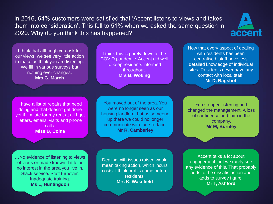In 2016, 64% customers were satisfied that 'Accent listens to views and takes them into consideration'. This fell to 51% when we asked the same question in 2020. Why do you think this has happened?



I think that although you ask for our views, we see very little action to make us think you are listening. We fill in various surveys but nothing ever changes. **Mrs G, March**

I think this is purely down to the COVID pandemic. Accent did well to keep residents informed throughout. **Mrs B, Woking**

I have a list of repairs that need doing and that doesn't get done yet if I'm late for my rent at all I get letters, emails, visits and phone calls. **Miss B, Colne**

You moved out of the area. You were no longer seen as our housing landlord, but as someone up there we could no longer communicate with face-to-face. **Mr R, Camberley**

…No evidence of listening to views obvious or made known. Little or no interest in the area you live in. Slack service. Staff turnover. Inadequate training. **Ms L, Huntingdon**

Dealing with issues raised would mean taking action, which incurs costs. I think profits come before residents. **Mrs K, Wakefield**

Now that every aspect of dealing with residents has been centralised, staff have less detailed knowledge of individual sites. Residents never have any contact with local staff. **Mr D, Bagshot**

You stopped listening and changed the management. A loss of confidence and faith in the company. **Mr M, Burnley**

Accent talks a lot about engagement, but we rarely see any evidence of this. That probably adds to the dissatisfaction and adds to survey figure. **Mr T, Ashford**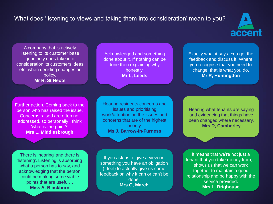### What does 'listening to views and taking them into consideration' mean to you?



A company that is actively listening to its customer base genuinely does take into consideration its customers ideas etc. when deciding changes or policy. **Mr R, St Neots**

Acknowledged and something done about it. If nothing can be done then explaining why, honestly. **Mr L, Leeds**

Exactly what it says. You get the feedback and discuss it. Where you recognise that you need to change, that is what you do. **Mr R, Huntingdon**

Further action. Coming back to the person who has raised the issue. Concerns raised are often not addressed, so personally I think 'what is the point?' **Mrs L, Middlesbrough**

Hearing residents concerns and issues and prioritising work/attention on the issues and concerns that are of the highest priority. **Ms J, Barrow-In-Furness**

There is 'hearing' and there is 'listening'. Listening is absorbing what a person has to say, and acknowledging that the person could be making some viable points that are useful… **Miss A, Blackburn**

If you ask us to give a view on something you have an obligation (I feel) to actually give us some feedback on why it can or can't be done. **Mrs G, March**

Hearing what tenants are saying and evidencing that things have been changed where necessary. **Mrs D, Camberley**

It means that we're not just a tenant that you take money from, it shows us that we can work together to maintain a good relationship and be happy with the service provided. **Mrs L, Brighouse**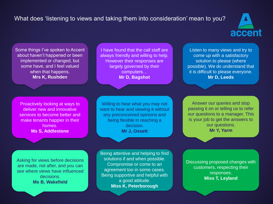### What does 'listening to views and taking them into consideration' mean to you?



Some things I've spoken to Accent about haven't happened or been implemented or changed, but some have, and I feel valued when that happens. **Mrs K, Rushden**

Proactively looking at ways to deliver new and innovative services to become better and make tenants happier in their homes. **Ms S, Addlestone**

Asking for views before decisions are made, not after, and you can see where views have influenced decisions. **Ms B, Wakefield**

I have found that the call staff are always friendly and willing to help. However their responses are largely governed by their computers… **Mr D, Bagshot**

Willing to hear what you may not want to hear and viewing it without any preconceived opinions and being flexible in reaching a decision. **Mr J, Ossett**

Being attentive and helping to find solutions if and when possible. Compromise or come to an agreement too in some cases. Being supportive and helpful with a good attitude. **Miss K, Peterborough**

Listen to many views and try to come up with a satisfactory solution to please (where possible). We do understand that it is difficult to please everyone. **Mr D, Leeds**

Answer our queries and stop passing it on or telling us to refer our questions to a manager. This is your job to get the answers to our questions. **Mr Y, Yarm**

Discussing proposed changes with customers, respecting their responses. **Miss T, Leyland**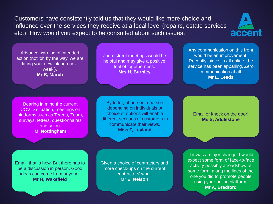Customers have consistently told us that they would like more choice and influence over the services they receive at a local level (repairs, estate services etc.). How would you expect to be consulted about such issues?



Advance warning of intended action (not 'oh by the way, we are fitting your new kitchen next week'). **Mr B, March**

Zoom street meetings would be helpful and may give a positive feel of togetherness. **Mrs H, Burnley**

Any communication on this front would be an improvement. Recently, since its all online, the service has been appalling. Zero communication at all. **Mr L, Leeds**

Bearing in mind the current COVID situation, meetings on platforms such as Teams, Zoom, surveys, letters, questionnaires and so on. **M, Nottingham**

By letter, phone or in person depending on individuals. A choice of options will enable different sections of customers to communicate their views. **Miss T, Leyland**

Email or knock on the door! **Ms S, Addlestone**

Email, that is how. But there has to be a discussion in person. Good ideas can come from anyone. **Mr H, Wakefield**

Given a choice of contractors and more check-ups on the current contractors' work. **Mr E, Nelson**

If it was a major change, I would expect some form of face-to-face activity possibly a roadshow of some form, along the lines of the one you did to promote people using your online platform. **Mr A, Bradford**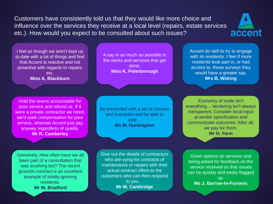Customers have consistently told us that they would like more choice and influence over the services they receive at a local level (repairs, estate services etc.). How would you expect to be consulted about such issues?



I feel as though we aren't kept up to date with a lot of things and find that Accent is reactive and not proactive with regards to repairs etc. **Miss A, Blackburn**

Hold the teams accountable for poor service and refund us. If it were a private contractor we hired, we'd seek compensation for poor service, whereas Accent just pay anyway regardless of quality. **Mr R, Camberley**

A say in as much as possible in the works and services that get done. **Miss K, Peterborough**

Be presented with a set of choices and scenarios and be able to vote… **Ms M, Huntingdon**

Give out the details of contractors who are vying for contracts of maintenance or repairs with their actual contract offers to the customers who can then respond to you… **Mr M, Cambridge**

Accent do well to try to engage with its residents. I feel if more residents took part in, or had access to, these surveys they would have a greater say. **Mrs B, Woking**

Economy of scale isn't everything… tendering isn't always transparent. Consider local input at tender specification and communicate outcomes. After all, we pay for them. **Mr H, Yarm**

Given options on services and being asked for feedback on the service received so that issues can be quickly and easily flagged up. **Ms J, Barrow-In-Furness**

Genuinely. How often have we all been part of a consultation that was anything but? The recent grounds contract is an excellent example of totally ignoring residents. **Mr W, Bradford**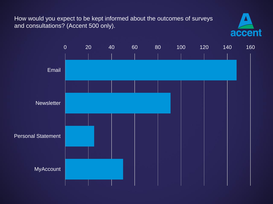How would you expect to be kept informed about the outcomes of surveys and consultations? (Accent 500 only).



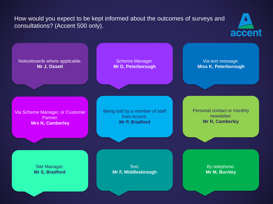How would you expect to be kept informed about the outcomes of surveys and consultations? (Accent 500 only).



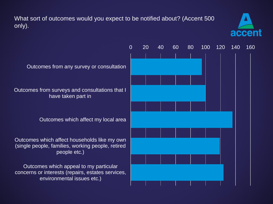What sort of outcomes would you expect to be notified about? (Accent 500 only).



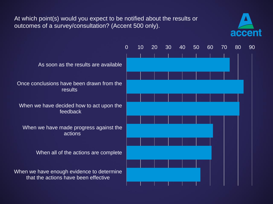At which point(s) would you expect to be notified about the results or outcomes of a survey/consultation? (Accent 500 only).



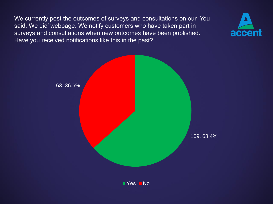We currently post the outcomes of surveys and consultations on our 'You said, We did' webpage. We notify customers who have taken part in surveys and consultations when new outcomes have been published. Have you received notifications like this in the past?



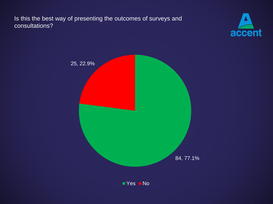Is this the best way of presenting the outcomes of surveys and consultations?



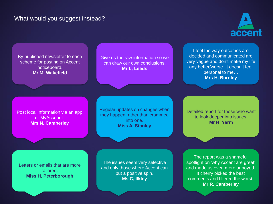#### What would you suggest instead?



By published newsletter to each scheme for posting on Accent noticeboard. **Mr M, Wakefield**

Give us the raw information so we can draw our own conclusions. **Mr L, Leeds**

I feel the way outcomes are decided and communicated are very vague and don't make my life any better/worse. It doesn't feel personal to me… **Mrs H, Burnley**

Post local information via an app or MyAccount. **Mrs N, Camberley**

Regular updates on changes when they happen rather than crammed into one. **Miss A, Stanley**

Detailed report for those who want to look deeper into issues. **Mr H, Yarm**

Letters or emails that are more tailored. **Miss H, Peterborough**

The issues seem very selective and only those where Accent can put a positive spin. **Ms C, Ilkley**

The report was a shameful spotlight on 'why Accent are great' and made us even more annoyed. It cherry picked the best comments and filtered the worst. **Mr R, Camberley**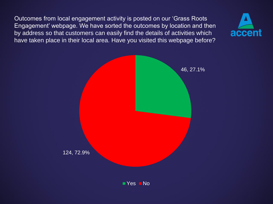Outcomes from local engagement activity is posted on our 'Grass Roots Engagement' webpage. We have sorted the outcomes by location and then by address so that customers can easily find the details of activities which have taken place in their local area. Have you visited this webpage before?



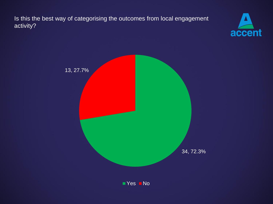Is this the best way of categorising the outcomes from local engagement activity?



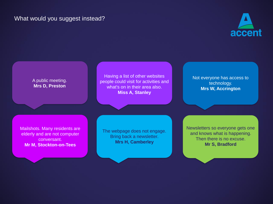### What would you suggest instead?



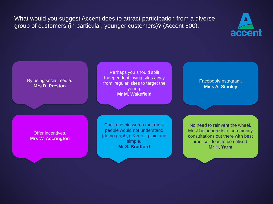What would you suggest Accent does to attract participation from a diverse group of customers (in particular, younger customers)? (Accent 500).



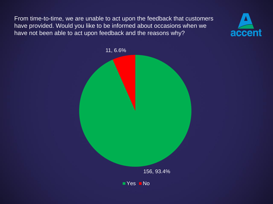From time-to-time, we are unable to act upon the feedback that customers have provided. Would you like to be informed about occasions when we have not been able to act upon feedback and the reasons why?



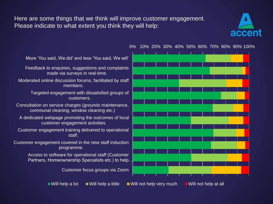Here are some things that we think will improve customer engagement. Please indicate to what extent you think they will help:





Customer engagement covered in the new staff induction programme.

> Access to software for operational staff (Customer Partners, Homeownership Specialists etc.) to help…

> > Customer focus groups via Zoom

Will help a lot  $\blacksquare$  Will help a little  $\blacksquare$  Will not help very much  $\blacksquare$  Will not help at all

0% 10% 20% 30% 40% 50% 60% 70% 80% 90% 100%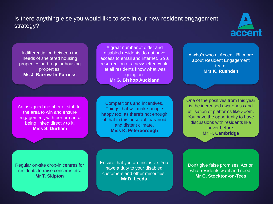### Is there anything else you would like to see in our new resident engagement strategy?



A differentiation between the needs of sheltered housing properties and regular housing properties. **Ms J, Barrow-In-Furness**

An assigned member of staff for the area to win and ensure engagement, with performance being linked directly to it. **Miss S, Durham**

A great number of older and disabled residents do not have access to email and internet. So a resurrection of a newsletter would let all residents know what was going on. **Mr G, Bishop Auckland**

Competitions and incentives. Things that will make people happy too; as there's not enough of that in this unsocial, paranoid and distant climate. **Miss K, Peterborough**

A who's who at Accent. Bit more about Resident Engagement team. **Mrs K, Rushden**

One of the positives from this year is the increased awareness and utilisation of platforms like Zoom. You have the opportunity to have discussions with residents like never before. **Mr H, Cambridge**

Regular on-site drop-in centres for residents to raise concerns etc. **Mr T, Skipton**

Ensure that you are inclusive. You have a duty to your disabled customers and other minorities. **Mr D, Leeds**

Don't give false promises. Act on what residents want and need. **Mr C, Stockton-on-Tees**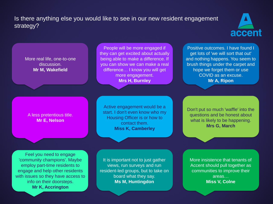### Is there anything else you would like to see in our new resident engagement strategy?



#### More real life, one-to-one discussion. **Mr M, Wakefield**

A less pretentious title. **Mr E, Nelson**

People will be more engaged if they can get excited about actually being able to make a difference. If you can show we can make a real difference… I know you will get more engagement. **Mrs H, Burnley**

Positive outcomes. I have found I get lots of 'we will sort that out' and nothing happens. You seem to brush things under the carpet and hope we forget them or use COVID as an excuse. **Mr A, Ripon**

Active engagement would be a start. I don't even know who my Housing Officer is or how to contact them. **Miss K, Camberley**

Don't put so much 'waffle' into the questions and be honest about what is likely to be happening. **Mrs G, March**

Feel you need to engage 'community champions'. Maybe employ part-time residents to engage and help other residents with issues so they have access to info on their doorsteps. **Mr K, Accrington**

It is important not to just gather views, run surveys and run resident-led groups, but to take on board what they say. **Ms M, Huntingdon**

More insistence that tenants of Accent should pull together as communities to improve their areas… **Miss V, Colne**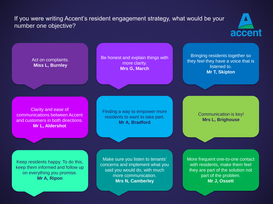If you were writing Accent's resident engagement strategy, what would be your number one objective?



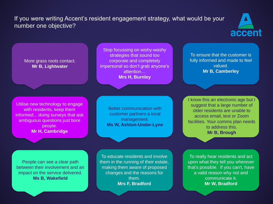### If you were writing Accent's resident engagement strategy, what would be your number one objective?



#### More grass roots contact. **Mr B, Lightwater**

Stop focussing on wishy-washy strategies that sound too corporate and completely impersonal so don't grab anyone's attention… **Mrs H, Burnley**

Utilise new technology to engage with residents, keep them informed... doing surveys that ask ambiguous questions just bore people. **Mr H, Cambridge**

Better communication with customer partners a local management. **Ms W, Ashton-Under-Lyne**

To ensure that the customer is fully informed and made to feel valued. **Mr B, Camberley**

I know this an electronic age but I suggest that a large number of older residents are unable to access email, text or Zoom facilities. Your comms plan needs to address this. **Mr B, Brough**

People can see a clear path between their involvement and an impact on the service delivered. **Ms B, Wakefield**

To educate residents and involve them in the running of their estate, making them aware of proposed changes and the reasons for them. **Mrs F, Bradford**

To really hear residents and act upon what they tell you wherever that's possible. If you can't, have a valid reason why not and communicate it. **Mr W, Bradford**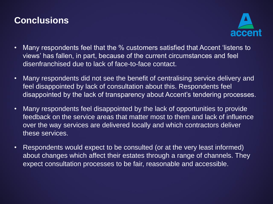# **Conclusions**



- Many respondents feel that the % customers satisfied that Accent 'listens to views' has fallen, in part, because of the current circumstances and feel disenfranchised due to lack of face-to-face contact.
- Many respondents did not see the benefit of centralising service delivery and feel disappointed by lack of consultation about this. Respondents feel disappointed by the lack of transparency about Accent's tendering processes.
- Many respondents feel disappointed by the lack of opportunities to provide feedback on the service areas that matter most to them and lack of influence over the way services are delivered locally and which contractors deliver these services.
- Respondents would expect to be consulted (or at the very least informed) about changes which affect their estates through a range of channels. They expect consultation processes to be fair, reasonable and accessible.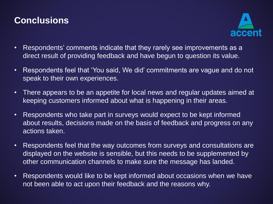# **Conclusions**



- Respondents' comments indicate that they rarely see improvements as a direct result of providing feedback and have begun to question its value.
- Respondents feel that 'You said, We did' commitments are vague and do not speak to their own experiences.
- There appears to be an appetite for local news and regular updates aimed at keeping customers informed about what is happening in their areas.
- Respondents who take part in surveys would expect to be kept informed about results, decisions made on the basis of feedback and progress on any actions taken.
- Respondents feel that the way outcomes from surveys and consultations are displayed on the website is sensible, but this needs to be supplemented by other communication channels to make sure the message has landed.
- Respondents would like to be kept informed about occasions when we have not been able to act upon their feedback and the reasons why.